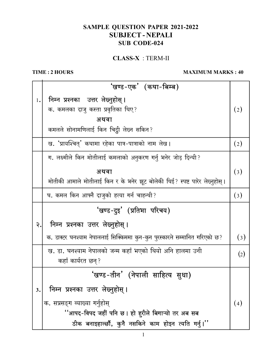## SAMPLE QUESTION PAPER 2021-2022 **SUBJECT-NEPALI SUB CODE-024**

 $CLASS-X : TERM-II$ 

## TIME: 2 HOURS

## **MAXIMUM MARKS: 40**

|    | 'खण्ड-एक' (कथा-बिम्ब)                                                       |                  |
|----|-----------------------------------------------------------------------------|------------------|
| 1. | निम्न प्रश्नका उत्तर लेख्नुहोस् ।                                           |                  |
|    | क. कमलका दाजु कस्ता प्रवृतिका थिए?                                          | (2)              |
|    | अथवा                                                                        |                  |
|    | कमलले सोनामणिलाई किन चिट्ठी लेख्न सकिन?                                     |                  |
|    | ख. 'प्रायश्चित्' कथामा रहेका पात्र-पात्राको नाम लेख ।                       | (2)              |
|    | ग. लक्ष्मीले किन मोतीलाई कमलाको अनुकरण गर्नु भनेर जोड़ दिन्थी?              |                  |
|    | अथवा                                                                        | $\left(3\right)$ |
|    | मोतीकी आमाले मोतीलाई किन र के भनेर झूट बोलेकी थिई? स्पष्ट पारेर लेख्नुहोस्। |                  |
|    | घ. कमल किन आफ्नै दाजुको हत्या गर्न चाहन्थी?                                 | $\left(3\right)$ |
|    | 'खण्ड-दुइ' (प्रतिभा परिचय)                                                  |                  |
| २. | निम्न प्रश्नका उत्तर लेख्नुहोस्।                                            |                  |
|    | क. डाक्टर घनश्याम नेपाललाई सिक्किममा कुन-कुन पुरस्कारले सम्मानित गरिएको छ?  | $\left(3\right)$ |
|    | ख. डा. घनश्याम नेपालको जन्म कहाँ भएको थियो अनि हालमा उनी                    | (2)              |
|    | कहाँ कार्यरत छन्?                                                           |                  |
|    | 'खण्ड−तीन' (नेपाली साहित्य सुधा)                                            |                  |
| 3. |                                                                             |                  |
|    | निम्न प्रश्नका उत्तर लेख्नुहोस् ।                                           |                  |
|    | क. सप्रसङ्ग व्याख्या गर्नुहोस्                                              | (4)              |
|    | ''आपद-विपद जहीं पनि छ । हो हरीले बिगाऱ्यो तर अब सब                          |                  |

 $\mathbf{1}$